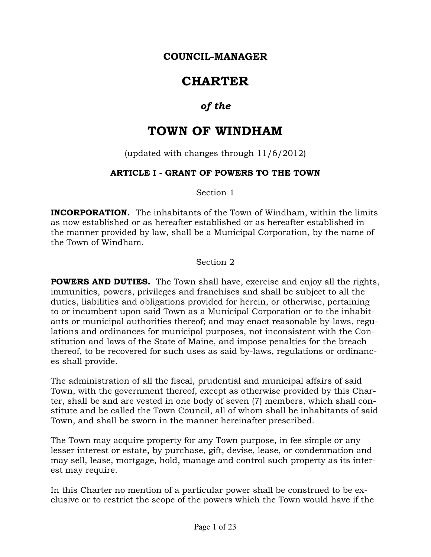### COUNCIL-MANAGER

# **CHARTER**

## of the

## TOWN OF WINDHAM

(updated with changes through 11/6/2012)

### ARTICLE I - GRANT OF POWERS TO THE TOWN

Section 1

**INCORPORATION.** The inhabitants of the Town of Windham, within the limits as now established or as hereafter established or as hereafter established in the manner provided by law, shall be a Municipal Corporation, by the name of the Town of Windham.

Section 2

**POWERS AND DUTIES.** The Town shall have, exercise and enjoy all the rights, immunities, powers, privileges and franchises and shall be subject to all the duties, liabilities and obligations provided for herein, or otherwise, pertaining to or incumbent upon said Town as a Municipal Corporation or to the inhabitants or municipal authorities thereof; and may enact reasonable by-laws, regulations and ordinances for municipal purposes, not inconsistent with the Constitution and laws of the State of Maine, and impose penalties for the breach thereof, to be recovered for such uses as said by-laws, regulations or ordinances shall provide.

The administration of all the fiscal, prudential and municipal affairs of said Town, with the government thereof, except as otherwise provided by this Charter, shall be and are vested in one body of seven (7) members, which shall constitute and be called the Town Council, all of whom shall be inhabitants of said Town, and shall be sworn in the manner hereinafter prescribed.

The Town may acquire property for any Town purpose, in fee simple or any lesser interest or estate, by purchase, gift, devise, lease, or condemnation and may sell, lease, mortgage, hold, manage and control such property as its interest may require.

In this Charter no mention of a particular power shall be construed to be exclusive or to restrict the scope of the powers which the Town would have if the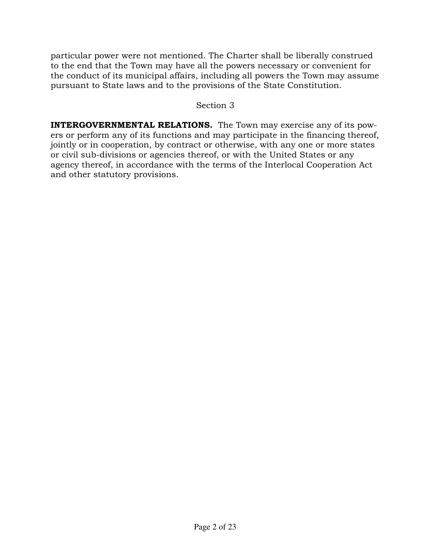particular power were not mentioned. The Charter shall be liberally construed to the end that the Town may have all the powers necessary or convenient for the conduct of its municipal affairs, including all powers the Town may assume pursuant to State laws and to the provisions of the State Constitution.

### Section 3

INTERGOVERNMENTAL RELATIONS. The Town may exercise any of its powers or perform any of its functions and may participate in the financing thereof, jointly or in cooperation, by contract or otherwise, with any one or more states or civil sub-divisions or agencies thereof, or with the United States or any agency thereof, in accordance with the terms of the Interlocal Cooperation Act and other statutory provisions.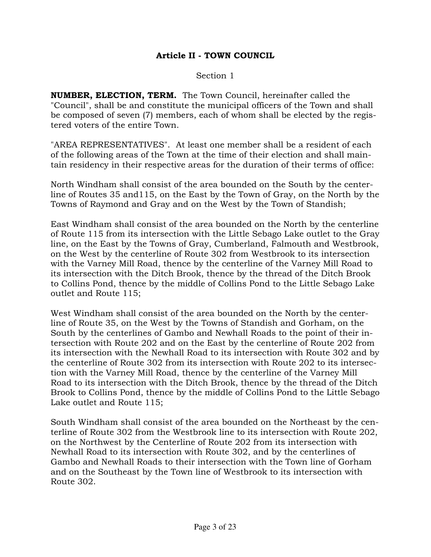### Article II - TOWN COUNCIL

Section 1

NUMBER, ELECTION, TERM. The Town Council, hereinafter called the "Council", shall be and constitute the municipal officers of the Town and shall be composed of seven (7) members, each of whom shall be elected by the registered voters of the entire Town.

"AREA REPRESENTATIVES". At least one member shall be a resident of each of the following areas of the Town at the time of their election and shall maintain residency in their respective areas for the duration of their terms of office:

North Windham shall consist of the area bounded on the South by the centerline of Routes 35 and115, on the East by the Town of Gray, on the North by the Towns of Raymond and Gray and on the West by the Town of Standish;

East Windham shall consist of the area bounded on the North by the centerline of Route 115 from its intersection with the Little Sebago Lake outlet to the Gray line, on the East by the Towns of Gray, Cumberland, Falmouth and Westbrook, on the West by the centerline of Route 302 from Westbrook to its intersection with the Varney Mill Road, thence by the centerline of the Varney Mill Road to its intersection with the Ditch Brook, thence by the thread of the Ditch Brook to Collins Pond, thence by the middle of Collins Pond to the Little Sebago Lake outlet and Route 115;

West Windham shall consist of the area bounded on the North by the centerline of Route 35, on the West by the Towns of Standish and Gorham, on the South by the centerlines of Gambo and Newhall Roads to the point of their intersection with Route 202 and on the East by the centerline of Route 202 from its intersection with the Newhall Road to its intersection with Route 302 and by the centerline of Route 302 from its intersection with Route 202 to its intersection with the Varney Mill Road, thence by the centerline of the Varney Mill Road to its intersection with the Ditch Brook, thence by the thread of the Ditch Brook to Collins Pond, thence by the middle of Collins Pond to the Little Sebago Lake outlet and Route 115;

South Windham shall consist of the area bounded on the Northeast by the centerline of Route 302 from the Westbrook line to its intersection with Route 202, on the Northwest by the Centerline of Route 202 from its intersection with Newhall Road to its intersection with Route 302, and by the centerlines of Gambo and Newhall Roads to their intersection with the Town line of Gorham and on the Southeast by the Town line of Westbrook to its intersection with Route 302.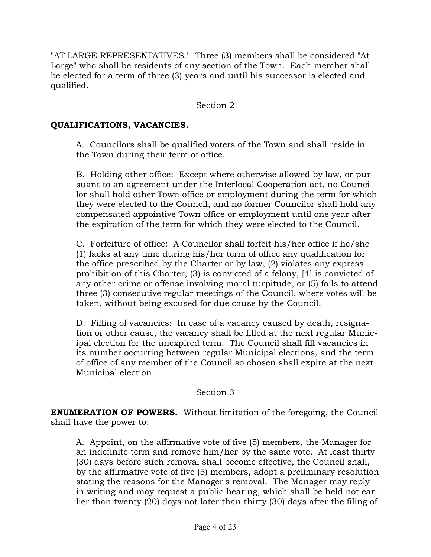"AT LARGE REPRESENTATIVES." Three (3) members shall be considered "At Large" who shall be residents of any section of the Town. Each member shall be elected for a term of three (3) years and until his successor is elected and qualified.

### Section 2

### QUALIFICATIONS, VACANCIES.

A. Councilors shall be qualified voters of the Town and shall reside in the Town during their term of office.

 B. Holding other office: Except where otherwise allowed by law, or pursuant to an agreement under the Interlocal Cooperation act, no Councilor shall hold other Town office or employment during the term for which they were elected to the Council, and no former Councilor shall hold any compensated appointive Town office or employment until one year after the expiration of the term for which they were elected to the Council.

 C. Forfeiture of office: A Councilor shall forfeit his/her office if he/she (1) lacks at any time during his/her term of office any qualification for the office prescribed by the Charter or by law, (2) violates any express prohibition of this Charter, (3) is convicted of a felony, [4] is convicted of any other crime or offense involving moral turpitude, or (5) fails to attend three (3) consecutive regular meetings of the Council, where votes will be taken, without being excused for due cause by the Council.

 D. Filling of vacancies: In case of a vacancy caused by death, resignation or other cause, the vacancy shall be filled at the next regular Municipal election for the unexpired term. The Council shall fill vacancies in its number occurring between regular Municipal elections, and the term of office of any member of the Council so chosen shall expire at the next Municipal election.

### Section 3

ENUMERATION OF POWERS. Without limitation of the foregoing, the Council shall have the power to:

 A. Appoint, on the affirmative vote of five (5) members, the Manager for an indefinite term and remove him/her by the same vote. At least thirty (30) days before such removal shall become effective, the Council shall, by the affirmative vote of five (5) members, adopt a preliminary resolution stating the reasons for the Manager's removal. The Manager may reply in writing and may request a public hearing, which shall be held not earlier than twenty (20) days not later than thirty (30) days after the filing of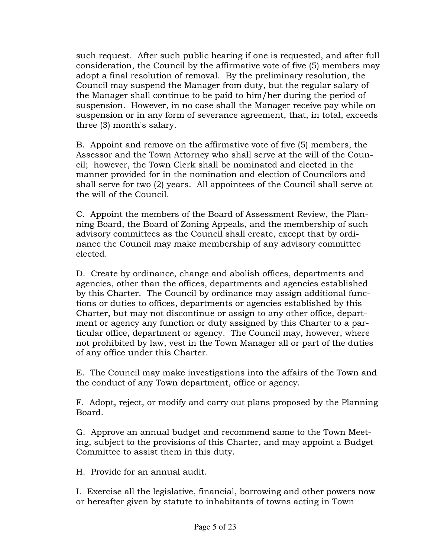such request. After such public hearing if one is requested, and after full consideration, the Council by the affirmative vote of five (5) members may adopt a final resolution of removal. By the preliminary resolution, the Council may suspend the Manager from duty, but the regular salary of the Manager shall continue to be paid to him/her during the period of suspension. However, in no case shall the Manager receive pay while on suspension or in any form of severance agreement, that, in total, exceeds three (3) month's salary.

 B. Appoint and remove on the affirmative vote of five (5) members, the Assessor and the Town Attorney who shall serve at the will of the Council; however, the Town Clerk shall be nominated and elected in the manner provided for in the nomination and election of Councilors and shall serve for two (2) years. All appointees of the Council shall serve at the will of the Council.

 C. Appoint the members of the Board of Assessment Review, the Planning Board, the Board of Zoning Appeals, and the membership of such advisory committees as the Council shall create, except that by ordinance the Council may make membership of any advisory committee elected.

 D. Create by ordinance, change and abolish offices, departments and agencies, other than the offices, departments and agencies established by this Charter. The Council by ordinance may assign additional functions or duties to offices, departments or agencies established by this Charter, but may not discontinue or assign to any other office, department or agency any function or duty assigned by this Charter to a particular office, department or agency. The Council may, however, where not prohibited by law, vest in the Town Manager all or part of the duties of any office under this Charter.

 E. The Council may make investigations into the affairs of the Town and the conduct of any Town department, office or agency.

 F. Adopt, reject, or modify and carry out plans proposed by the Planning Board.

 G. Approve an annual budget and recommend same to the Town Meeting, subject to the provisions of this Charter, and may appoint a Budget Committee to assist them in this duty.

H. Provide for an annual audit.

 I. Exercise all the legislative, financial, borrowing and other powers now or hereafter given by statute to inhabitants of towns acting in Town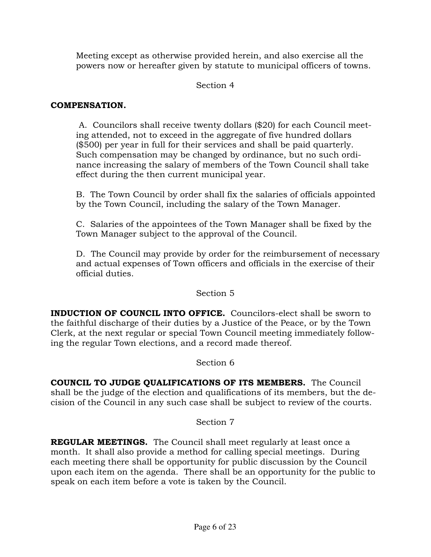Meeting except as otherwise provided herein, and also exercise all the powers now or hereafter given by statute to municipal officers of towns.

### Section 4

### COMPENSATION.

 A. Councilors shall receive twenty dollars (\$20) for each Council meeting attended, not to exceed in the aggregate of five hundred dollars (\$500) per year in full for their services and shall be paid quarterly. Such compensation may be changed by ordinance, but no such ordinance increasing the salary of members of the Town Council shall take effect during the then current municipal year.

 B. The Town Council by order shall fix the salaries of officials appointed by the Town Council, including the salary of the Town Manager.

 C. Salaries of the appointees of the Town Manager shall be fixed by the Town Manager subject to the approval of the Council.

 D. The Council may provide by order for the reimbursement of necessary and actual expenses of Town officers and officials in the exercise of their official duties.

### Section 5

INDUCTION OF COUNCIL INTO OFFICE. Councilors-elect shall be sworn to the faithful discharge of their duties by a Justice of the Peace, or by the Town Clerk, at the next regular or special Town Council meeting immediately following the regular Town elections, and a record made thereof.

### Section 6

COUNCIL TO JUDGE QUALIFICATIONS OF ITS MEMBERS. The Council shall be the judge of the election and qualifications of its members, but the decision of the Council in any such case shall be subject to review of the courts.

### Section 7

REGULAR MEETINGS. The Council shall meet regularly at least once a month. It shall also provide a method for calling special meetings. During each meeting there shall be opportunity for public discussion by the Council upon each item on the agenda. There shall be an opportunity for the public to speak on each item before a vote is taken by the Council.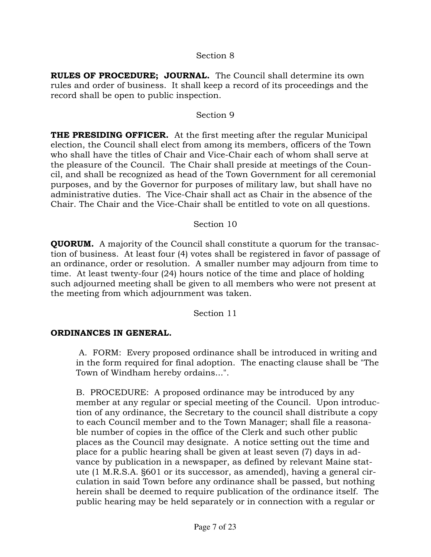### Section 8

RULES OF PROCEDURE; JOURNAL. The Council shall determine its own rules and order of business. It shall keep a record of its proceedings and the record shall be open to public inspection.

#### Section 9

**THE PRESIDING OFFICER.** At the first meeting after the regular Municipal election, the Council shall elect from among its members, officers of the Town who shall have the titles of Chair and Vice-Chair each of whom shall serve at the pleasure of the Council. The Chair shall preside at meetings of the Council, and shall be recognized as head of the Town Government for all ceremonial purposes, and by the Governor for purposes of military law, but shall have no administrative duties. The Vice-Chair shall act as Chair in the absence of the Chair. The Chair and the Vice-Chair shall be entitled to vote on all questions.

#### Section 10

QUORUM. A majority of the Council shall constitute a quorum for the transaction of business. At least four (4) votes shall be registered in favor of passage of an ordinance, order or resolution. A smaller number may adjourn from time to time. At least twenty-four (24) hours notice of the time and place of holding such adjourned meeting shall be given to all members who were not present at the meeting from which adjournment was taken.

Section 11

### ORDINANCES IN GENERAL.

 A. FORM: Every proposed ordinance shall be introduced in writing and in the form required for final adoption. The enacting clause shall be "The Town of Windham hereby ordains...".

 B. PROCEDURE: A proposed ordinance may be introduced by any member at any regular or special meeting of the Council. Upon introduction of any ordinance, the Secretary to the council shall distribute a copy to each Council member and to the Town Manager; shall file a reasonable number of copies in the office of the Clerk and such other public places as the Council may designate. A notice setting out the time and place for a public hearing shall be given at least seven (7) days in advance by publication in a newspaper, as defined by relevant Maine statute (1 M.R.S.A. §601 or its successor, as amended), having a general circulation in said Town before any ordinance shall be passed, but nothing herein shall be deemed to require publication of the ordinance itself. The public hearing may be held separately or in connection with a regular or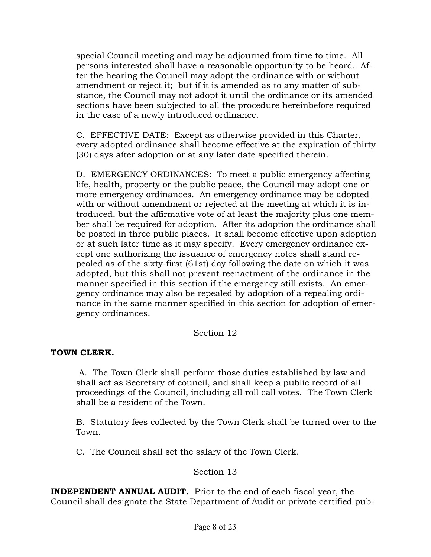special Council meeting and may be adjourned from time to time. All persons interested shall have a reasonable opportunity to be heard. After the hearing the Council may adopt the ordinance with or without amendment or reject it; but if it is amended as to any matter of substance, the Council may not adopt it until the ordinance or its amended sections have been subjected to all the procedure hereinbefore required in the case of a newly introduced ordinance.

 C. EFFECTIVE DATE: Except as otherwise provided in this Charter, every adopted ordinance shall become effective at the expiration of thirty (30) days after adoption or at any later date specified therein.

 D. EMERGENCY ORDINANCES: To meet a public emergency affecting life, health, property or the public peace, the Council may adopt one or more emergency ordinances. An emergency ordinance may be adopted with or without amendment or rejected at the meeting at which it is introduced, but the affirmative vote of at least the majority plus one member shall be required for adoption. After its adoption the ordinance shall be posted in three public places. It shall become effective upon adoption or at such later time as it may specify. Every emergency ordinance except one authorizing the issuance of emergency notes shall stand repealed as of the sixty-first (61st) day following the date on which it was adopted, but this shall not prevent reenactment of the ordinance in the manner specified in this section if the emergency still exists. An emergency ordinance may also be repealed by adoption of a repealing ordinance in the same manner specified in this section for adoption of emergency ordinances.

### Section 12

### TOWN CLERK.

 A. The Town Clerk shall perform those duties established by law and shall act as Secretary of council, and shall keep a public record of all proceedings of the Council, including all roll call votes. The Town Clerk shall be a resident of the Town.

 B. Statutory fees collected by the Town Clerk shall be turned over to the Town.

C. The Council shall set the salary of the Town Clerk.

### Section 13

INDEPENDENT ANNUAL AUDIT. Prior to the end of each fiscal year, the Council shall designate the State Department of Audit or private certified pub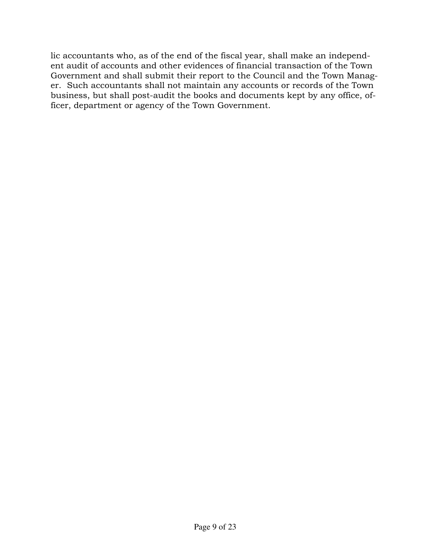lic accountants who, as of the end of the fiscal year, shall make an independent audit of accounts and other evidences of financial transaction of the Town Government and shall submit their report to the Council and the Town Manager. Such accountants shall not maintain any accounts or records of the Town business, but shall post-audit the books and documents kept by any office, officer, department or agency of the Town Government.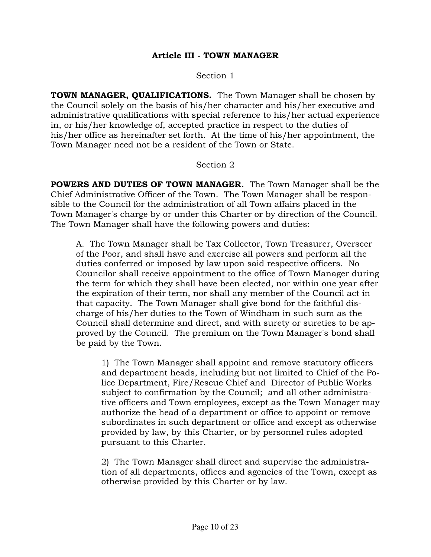#### Article III - TOWN MANAGER

Section 1

TOWN MANAGER, QUALIFICATIONS. The Town Manager shall be chosen by the Council solely on the basis of his/her character and his/her executive and administrative qualifications with special reference to his/her actual experience in, or his/her knowledge of, accepted practice in respect to the duties of his/her office as hereinafter set forth. At the time of his/her appointment, the Town Manager need not be a resident of the Town or State.

#### Section 2

POWERS AND DUTIES OF TOWN MANAGER. The Town Manager shall be the Chief Administrative Officer of the Town. The Town Manager shall be responsible to the Council for the administration of all Town affairs placed in the Town Manager's charge by or under this Charter or by direction of the Council. The Town Manager shall have the following powers and duties:

 A. The Town Manager shall be Tax Collector, Town Treasurer, Overseer of the Poor, and shall have and exercise all powers and perform all the duties conferred or imposed by law upon said respective officers. No Councilor shall receive appointment to the office of Town Manager during the term for which they shall have been elected, nor within one year after the expiration of their term, nor shall any member of the Council act in that capacity. The Town Manager shall give bond for the faithful discharge of his/her duties to the Town of Windham in such sum as the Council shall determine and direct, and with surety or sureties to be approved by the Council. The premium on the Town Manager's bond shall be paid by the Town.

1) The Town Manager shall appoint and remove statutory officers and department heads, including but not limited to Chief of the Police Department, Fire/Rescue Chief and Director of Public Works subject to confirmation by the Council; and all other administrative officers and Town employees, except as the Town Manager may authorize the head of a department or office to appoint or remove subordinates in such department or office and except as otherwise provided by law, by this Charter, or by personnel rules adopted pursuant to this Charter.

2) The Town Manager shall direct and supervise the administration of all departments, offices and agencies of the Town, except as otherwise provided by this Charter or by law.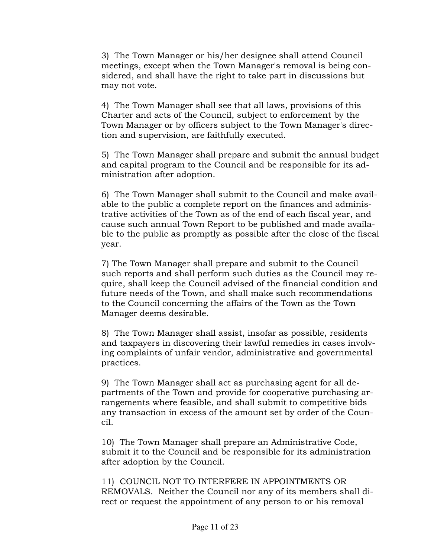3) The Town Manager or his/her designee shall attend Council meetings, except when the Town Manager's removal is being considered, and shall have the right to take part in discussions but may not vote.

4) The Town Manager shall see that all laws, provisions of this Charter and acts of the Council, subject to enforcement by the Town Manager or by officers subject to the Town Manager's direction and supervision, are faithfully executed.

5) The Town Manager shall prepare and submit the annual budget and capital program to the Council and be responsible for its administration after adoption.

6) The Town Manager shall submit to the Council and make available to the public a complete report on the finances and administrative activities of the Town as of the end of each fiscal year, and cause such annual Town Report to be published and made available to the public as promptly as possible after the close of the fiscal year.

7) The Town Manager shall prepare and submit to the Council such reports and shall perform such duties as the Council may require, shall keep the Council advised of the financial condition and future needs of the Town, and shall make such recommendations to the Council concerning the affairs of the Town as the Town Manager deems desirable.

8) The Town Manager shall assist, insofar as possible, residents and taxpayers in discovering their lawful remedies in cases involving complaints of unfair vendor, administrative and governmental practices.

9) The Town Manager shall act as purchasing agent for all departments of the Town and provide for cooperative purchasing arrangements where feasible, and shall submit to competitive bids any transaction in excess of the amount set by order of the Council.

10) The Town Manager shall prepare an Administrative Code, submit it to the Council and be responsible for its administration after adoption by the Council.

11) COUNCIL NOT TO INTERFERE IN APPOINTMENTS OR REMOVALS. Neither the Council nor any of its members shall direct or request the appointment of any person to or his removal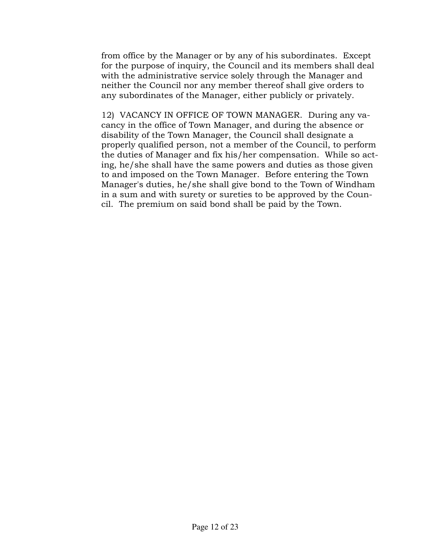from office by the Manager or by any of his subordinates. Except for the purpose of inquiry, the Council and its members shall deal with the administrative service solely through the Manager and neither the Council nor any member thereof shall give orders to any subordinates of the Manager, either publicly or privately.

12) VACANCY IN OFFICE OF TOWN MANAGER. During any vacancy in the office of Town Manager, and during the absence or disability of the Town Manager, the Council shall designate a properly qualified person, not a member of the Council, to perform the duties of Manager and fix his/her compensation. While so acting, he/she shall have the same powers and duties as those given to and imposed on the Town Manager. Before entering the Town Manager's duties, he/she shall give bond to the Town of Windham in a sum and with surety or sureties to be approved by the Council. The premium on said bond shall be paid by the Town.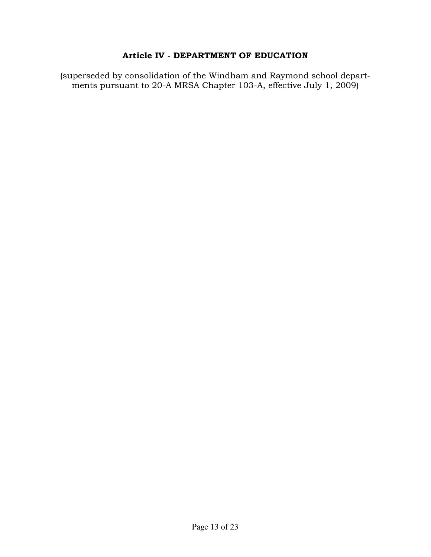### Article IV - DEPARTMENT OF EDUCATION

(superseded by consolidation of the Windham and Raymond school departments pursuant to 20-A MRSA Chapter 103-A, effective July 1, 2009)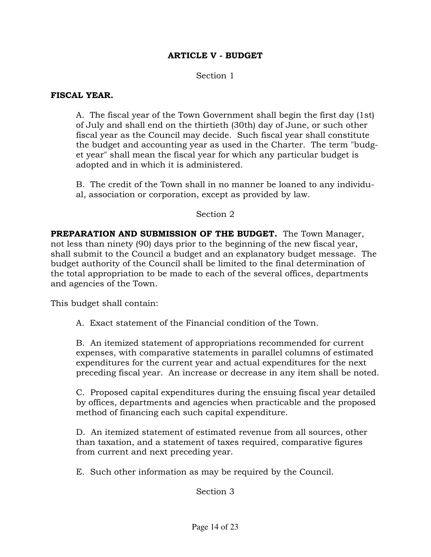### ARTICLE V - BUDGET

#### Section 1

#### FISCAL YEAR.

 A. The fiscal year of the Town Government shall begin the first day (1st) of July and shall end on the thirtieth (30th) day of June, or such other fiscal year as the Council may decide. Such fiscal year shall constitute the budget and accounting year as used in the Charter. The term "budget year" shall mean the fiscal year for which any particular budget is adopted and in which it is administered.

 B. The credit of the Town shall in no manner be loaned to any individual, association or corporation, except as provided by law.

#### Section 2

PREPARATION AND SUBMISSION OF THE BUDGET. The Town Manager, not less than ninety (90) days prior to the beginning of the new fiscal year, shall submit to the Council a budget and an explanatory budget message. The budget authority of the Council shall be limited to the final determination of the total appropriation to be made to each of the several offices, departments and agencies of the Town.

This budget shall contain:

A. Exact statement of the Financial condition of the Town.

 B. An itemized statement of appropriations recommended for current expenses, with comparative statements in parallel columns of estimated expenditures for the current year and actual expenditures for the next preceding fiscal year. An increase or decrease in any item shall be noted.

 C. Proposed capital expenditures during the ensuing fiscal year detailed by offices, departments and agencies when practicable and the proposed method of financing each such capital expenditure.

 D. An itemized statement of estimated revenue from all sources, other than taxation, and a statement of taxes required, comparative figures from current and next preceding year.

E. Such other information as may be required by the Council.

Section 3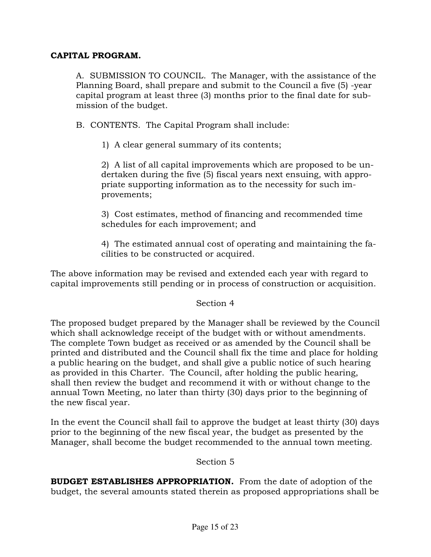### CAPITAL PROGRAM.

A. SUBMISSION TO COUNCIL. The Manager, with the assistance of the Planning Board, shall prepare and submit to the Council a five (5) -year capital program at least three (3) months prior to the final date for submission of the budget.

B. CONTENTS. The Capital Program shall include:

1) A clear general summary of its contents;

 2) A list of all capital improvements which are proposed to be undertaken during the five (5) fiscal years next ensuing, with appropriate supporting information as to the necessity for such improvements;

 3) Cost estimates, method of financing and recommended time schedules for each improvement; and

 4) The estimated annual cost of operating and maintaining the facilities to be constructed or acquired.

The above information may be revised and extended each year with regard to capital improvements still pending or in process of construction or acquisition.

### Section 4

The proposed budget prepared by the Manager shall be reviewed by the Council which shall acknowledge receipt of the budget with or without amendments. The complete Town budget as received or as amended by the Council shall be printed and distributed and the Council shall fix the time and place for holding a public hearing on the budget, and shall give a public notice of such hearing as provided in this Charter. The Council, after holding the public hearing, shall then review the budget and recommend it with or without change to the annual Town Meeting, no later than thirty (30) days prior to the beginning of the new fiscal year.

In the event the Council shall fail to approve the budget at least thirty (30) days prior to the beginning of the new fiscal year, the budget as presented by the Manager, shall become the budget recommended to the annual town meeting.

Section 5

BUDGET ESTABLISHES APPROPRIATION. From the date of adoption of the budget, the several amounts stated therein as proposed appropriations shall be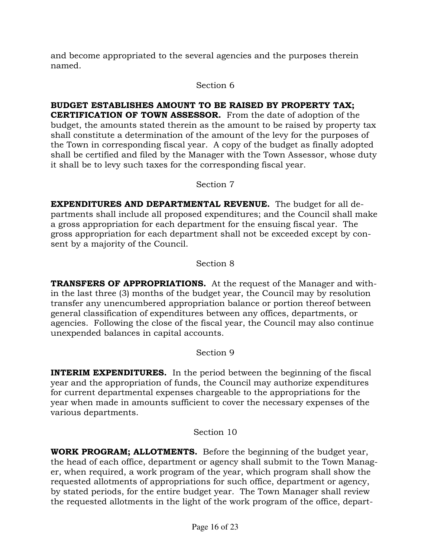and become appropriated to the several agencies and the purposes therein named.

### Section 6

### BUDGET ESTABLISHES AMOUNT TO BE RAISED BY PROPERTY TAX;

CERTIFICATION OF TOWN ASSESSOR. From the date of adoption of the budget, the amounts stated therein as the amount to be raised by property tax shall constitute a determination of the amount of the levy for the purposes of the Town in corresponding fiscal year. A copy of the budget as finally adopted shall be certified and filed by the Manager with the Town Assessor, whose duty it shall be to levy such taxes for the corresponding fiscal year.

### Section 7

EXPENDITURES AND DEPARTMENTAL REVENUE. The budget for all departments shall include all proposed expenditures; and the Council shall make a gross appropriation for each department for the ensuing fiscal year. The gross appropriation for each department shall not be exceeded except by consent by a majority of the Council.

### Section 8

TRANSFERS OF APPROPRIATIONS. At the request of the Manager and within the last three (3) months of the budget year, the Council may by resolution transfer any unencumbered appropriation balance or portion thereof between general classification of expenditures between any offices, departments, or agencies. Following the close of the fiscal year, the Council may also continue unexpended balances in capital accounts.

### Section 9

**INTERIM EXPENDITURES.** In the period between the beginning of the fiscal year and the appropriation of funds, the Council may authorize expenditures for current departmental expenses chargeable to the appropriations for the year when made in amounts sufficient to cover the necessary expenses of the various departments.

### Section 10

WORK PROGRAM; ALLOTMENTS. Before the beginning of the budget year, the head of each office, department or agency shall submit to the Town Manager, when required, a work program of the year, which program shall show the requested allotments of appropriations for such office, department or agency, by stated periods, for the entire budget year. The Town Manager shall review the requested allotments in the light of the work program of the office, depart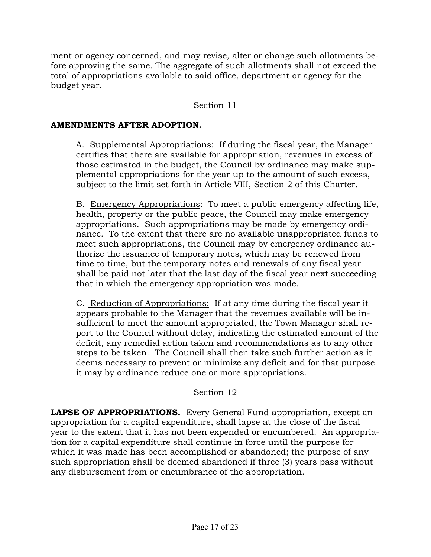ment or agency concerned, and may revise, alter or change such allotments before approving the same. The aggregate of such allotments shall not exceed the total of appropriations available to said office, department or agency for the budget year.

### Section 11

### AMENDMENTS AFTER ADOPTION.

 A. Supplemental Appropriations: If during the fiscal year, the Manager certifies that there are available for appropriation, revenues in excess of those estimated in the budget, the Council by ordinance may make supplemental appropriations for the year up to the amount of such excess, subject to the limit set forth in Article VIII, Section 2 of this Charter.

 B. Emergency Appropriations: To meet a public emergency affecting life, health, property or the public peace, the Council may make emergency appropriations. Such appropriations may be made by emergency ordinance. To the extent that there are no available unappropriated funds to meet such appropriations, the Council may by emergency ordinance authorize the issuance of temporary notes, which may be renewed from time to time, but the temporary notes and renewals of any fiscal year shall be paid not later that the last day of the fiscal year next succeeding that in which the emergency appropriation was made.

 C. Reduction of Appropriations: If at any time during the fiscal year it appears probable to the Manager that the revenues available will be insufficient to meet the amount appropriated, the Town Manager shall report to the Council without delay, indicating the estimated amount of the deficit, any remedial action taken and recommendations as to any other steps to be taken. The Council shall then take such further action as it deems necessary to prevent or minimize any deficit and for that purpose it may by ordinance reduce one or more appropriations.

### Section 12

LAPSE OF APPROPRIATIONS. Every General Fund appropriation, except an appropriation for a capital expenditure, shall lapse at the close of the fiscal year to the extent that it has not been expended or encumbered. An appropriation for a capital expenditure shall continue in force until the purpose for which it was made has been accomplished or abandoned; the purpose of any such appropriation shall be deemed abandoned if three (3) years pass without any disbursement from or encumbrance of the appropriation.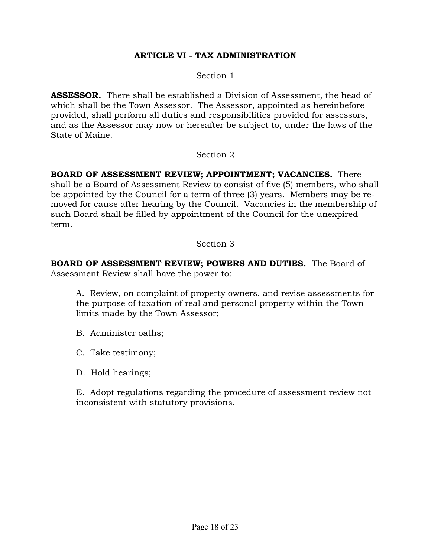### ARTICLE VI - TAX ADMINISTRATION

Section 1

**ASSESSOR.** There shall be established a Division of Assessment, the head of which shall be the Town Assessor. The Assessor, appointed as hereinbefore provided, shall perform all duties and responsibilities provided for assessors, and as the Assessor may now or hereafter be subject to, under the laws of the State of Maine.

Section 2

BOARD OF ASSESSMENT REVIEW; APPOINTMENT; VACANCIES. There shall be a Board of Assessment Review to consist of five (5) members, who shall be appointed by the Council for a term of three (3) years. Members may be removed for cause after hearing by the Council. Vacancies in the membership of such Board shall be filled by appointment of the Council for the unexpired term.

#### Section 3

BOARD OF ASSESSMENT REVIEW; POWERS AND DUTIES. The Board of Assessment Review shall have the power to:

 A. Review, on complaint of property owners, and revise assessments for the purpose of taxation of real and personal property within the Town limits made by the Town Assessor;

B. Administer oaths;

C. Take testimony;

D. Hold hearings;

 E. Adopt regulations regarding the procedure of assessment review not inconsistent with statutory provisions.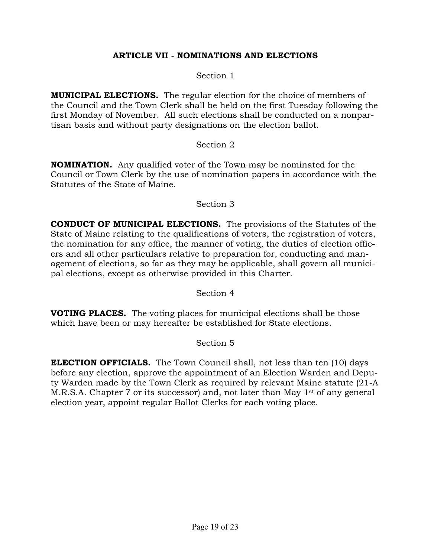### ARTICLE VII - NOMINATIONS AND ELECTIONS

Section 1

MUNICIPAL ELECTIONS. The regular election for the choice of members of the Council and the Town Clerk shall be held on the first Tuesday following the first Monday of November. All such elections shall be conducted on a nonpartisan basis and without party designations on the election ballot.

### Section 2

NOMINATION. Any qualified voter of the Town may be nominated for the Council or Town Clerk by the use of nomination papers in accordance with the Statutes of the State of Maine.

#### Section 3

CONDUCT OF MUNICIPAL ELECTIONS. The provisions of the Statutes of the State of Maine relating to the qualifications of voters, the registration of voters, the nomination for any office, the manner of voting, the duties of election officers and all other particulars relative to preparation for, conducting and management of elections, so far as they may be applicable, shall govern all municipal elections, except as otherwise provided in this Charter.

Section 4

VOTING PLACES. The voting places for municipal elections shall be those which have been or may hereafter be established for State elections.

### Section 5

ELECTION OFFICIALS. The Town Council shall, not less than ten (10) days before any election, approve the appointment of an Election Warden and Deputy Warden made by the Town Clerk as required by relevant Maine statute (21-A M.R.S.A. Chapter 7 or its successor) and, not later than May 1<sup>st</sup> of any general election year, appoint regular Ballot Clerks for each voting place.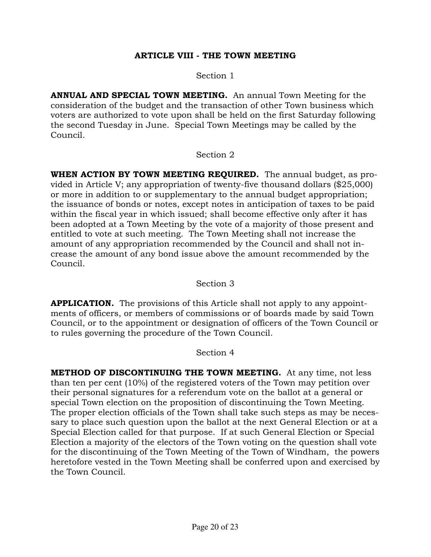### ARTICLE VIII - THE TOWN MEETING

Section 1

ANNUAL AND SPECIAL TOWN MEETING. An annual Town Meeting for the consideration of the budget and the transaction of other Town business which voters are authorized to vote upon shall be held on the first Saturday following the second Tuesday in June. Special Town Meetings may be called by the Council.

#### Section 2

WHEN ACTION BY TOWN MEETING REQUIRED. The annual budget, as provided in Article V; any appropriation of twenty-five thousand dollars (\$25,000) or more in addition to or supplementary to the annual budget appropriation; the issuance of bonds or notes, except notes in anticipation of taxes to be paid within the fiscal year in which issued; shall become effective only after it has been adopted at a Town Meeting by the vote of a majority of those present and entitled to vote at such meeting. The Town Meeting shall not increase the amount of any appropriation recommended by the Council and shall not increase the amount of any bond issue above the amount recommended by the Council.

### Section 3

**APPLICATION.** The provisions of this Article shall not apply to any appointments of officers, or members of commissions or of boards made by said Town Council, or to the appointment or designation of officers of the Town Council or to rules governing the procedure of the Town Council.

#### Section 4

METHOD OF DISCONTINUING THE TOWN MEETING. At any time, not less than ten per cent (10%) of the registered voters of the Town may petition over their personal signatures for a referendum vote on the ballot at a general or special Town election on the proposition of discontinuing the Town Meeting. The proper election officials of the Town shall take such steps as may be necessary to place such question upon the ballot at the next General Election or at a Special Election called for that purpose. If at such General Election or Special Election a majority of the electors of the Town voting on the question shall vote for the discontinuing of the Town Meeting of the Town of Windham, the powers heretofore vested in the Town Meeting shall be conferred upon and exercised by the Town Council.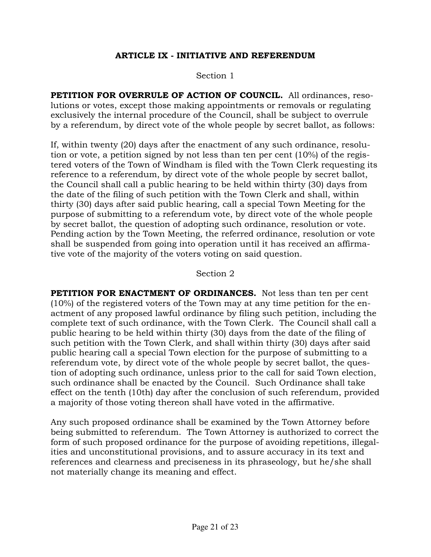### ARTICLE IX - INITIATIVE AND REFERENDUM

#### Section 1

PETITION FOR OVERRULE OF ACTION OF COUNCIL. All ordinances, resolutions or votes, except those making appointments or removals or regulating exclusively the internal procedure of the Council, shall be subject to overrule by a referendum, by direct vote of the whole people by secret ballot, as follows:

If, within twenty (20) days after the enactment of any such ordinance, resolution or vote, a petition signed by not less than ten per cent (10%) of the registered voters of the Town of Windham is filed with the Town Clerk requesting its reference to a referendum, by direct vote of the whole people by secret ballot, the Council shall call a public hearing to be held within thirty (30) days from the date of the filing of such petition with the Town Clerk and shall, within thirty (30) days after said public hearing, call a special Town Meeting for the purpose of submitting to a referendum vote, by direct vote of the whole people by secret ballot, the question of adopting such ordinance, resolution or vote. Pending action by the Town Meeting, the referred ordinance, resolution or vote shall be suspended from going into operation until it has received an affirmative vote of the majority of the voters voting on said question.

#### Section 2

PETITION FOR ENACTMENT OF ORDINANCES. Not less than ten per cent (10%) of the registered voters of the Town may at any time petition for the enactment of any proposed lawful ordinance by filing such petition, including the complete text of such ordinance, with the Town Clerk. The Council shall call a public hearing to be held within thirty (30) days from the date of the filing of such petition with the Town Clerk, and shall within thirty (30) days after said public hearing call a special Town election for the purpose of submitting to a referendum vote, by direct vote of the whole people by secret ballot, the question of adopting such ordinance, unless prior to the call for said Town election, such ordinance shall be enacted by the Council. Such Ordinance shall take effect on the tenth (10th) day after the conclusion of such referendum, provided a majority of those voting thereon shall have voted in the affirmative.

Any such proposed ordinance shall be examined by the Town Attorney before being submitted to referendum. The Town Attorney is authorized to correct the form of such proposed ordinance for the purpose of avoiding repetitions, illegalities and unconstitutional provisions, and to assure accuracy in its text and references and clearness and preciseness in its phraseology, but he/she shall not materially change its meaning and effect.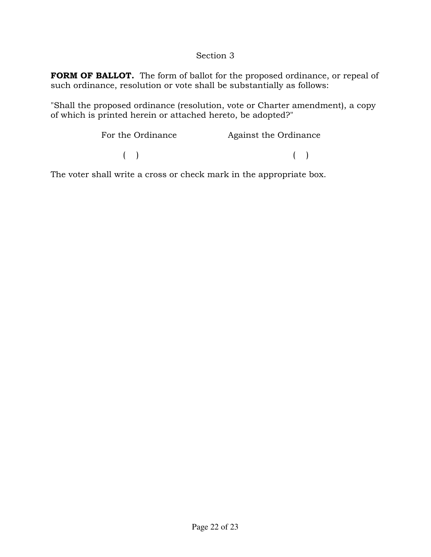### Section 3

FORM OF BALLOT. The form of ballot for the proposed ordinance, or repeal of such ordinance, resolution or vote shall be substantially as follows:

"Shall the proposed ordinance (resolution, vote or Charter amendment), a copy of which is printed herein or attached hereto, be adopted?"

| For the Ordinance | Against the Ordinance |
|-------------------|-----------------------|
|                   |                       |

The voter shall write a cross or check mark in the appropriate box.